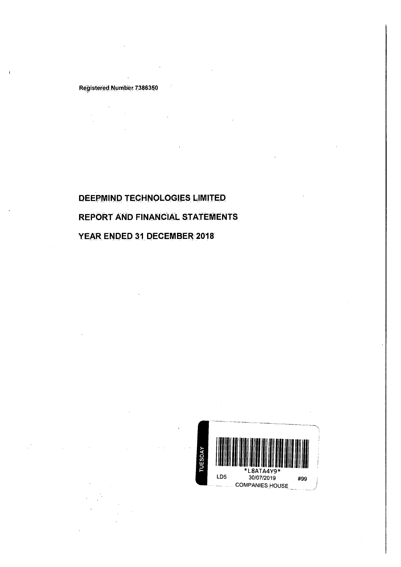## RegisteredNumber 7386350

DEEPMIND TECHNOLOGIES LIMITED REPORT AND FINANCIAL STATEMENTS YEAR ENDED 31 DECEMBER 2018

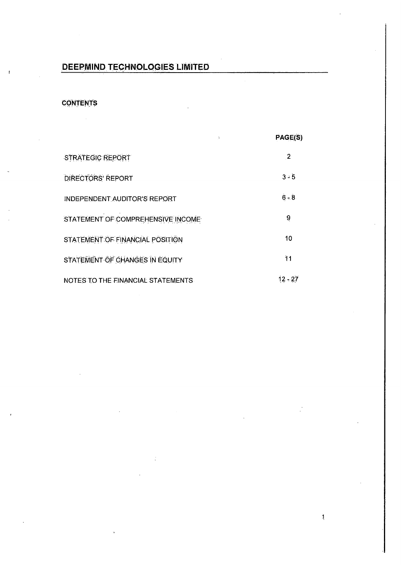# CONTENTS

 $\mathbb{R}^2$ 

|                                    | Þ | PAGE(S)      |
|------------------------------------|---|--------------|
| <b>STRATEGIC REPORT</b>            |   | $\mathbf{2}$ |
| <b>DIRECTORS' REPORT</b>           |   | $3 - 5$      |
| INDEPENDENT AUDITOR'S REPORT       |   | $6 - 8$      |
| STATEMENT OF COMPREHENSIVE INCOME. |   | 9            |
| STATEMENT OF FINANCIAL POSITION    |   | 10           |
| STATEMENT OF CHANGES IN EQUITY     |   | 11           |
| NOTES TO THE FINANCIAL STATEMENTS  |   | $12 - 27$    |

 $\mathbf{j}$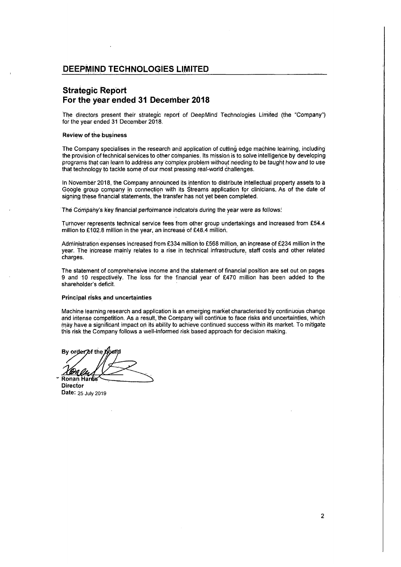## Strategic Report For the year ended 31 December 2018

The directors present their strategic report of DeepMind Technologies Limited (the "Company") for the year ended. 31 December 2018.

#### **Review of the business**

The Company specialises in the research and application of cutting edge machine learning, including the provision of technical services to other companies. Its mission is to solve intelligence by developing programsthat can learnto addréss anycomplex problem without néedirig to be taught how andto use that technology to tackle some of our most pressing real-world challenges.

In November 2018, the Company announced its intention to distribute intellectual property assets to a Google group company in connection with its Streams application for clinicians. As of the date of signing these financial statements, the transfer has not yet been completed.

The Company's key financial performance indicators during the year were as follows:

Turhover represents technical service fees from other group undertakings and increased from £54.4 million to £102.8 million in the year, an increase of £48.4 million.

Administration expenses increased from £334 million to £568 million, an increase of £234 million in the year. The increase mainly relates to a rise in technical. infrastructure, staff costs and other related charges.

The statement of comprehensive income and the statementoffinancial position are set out on pages 9 and 10 respectively. The loss for the financial year of £470 million has been added to the shareholder's deficit.

### Principal risks and uncertainties

Machinelearning research and application is an emerging market characterised by continuous change and intense competition. As a result, the Comipariy will continue to face risks and uncertainties, which may.havea significarit impactoni its ability to achieve continued success within its market: To mitigate may have a significant impact on its ability to achieve continued success within its market. To mitigate<br>this risk the Company follows a well-informed risk based approach for decision making.

Principal risks and<br>
Machine learning<br>
and intense comp<br>
may have a signifithis risk the Comp<br>
By order of the K<br>
By order of the K<br>
Ronan Hards

**Director** Date: 25 July 2019

 $\overline{2}$ 

 $\vert$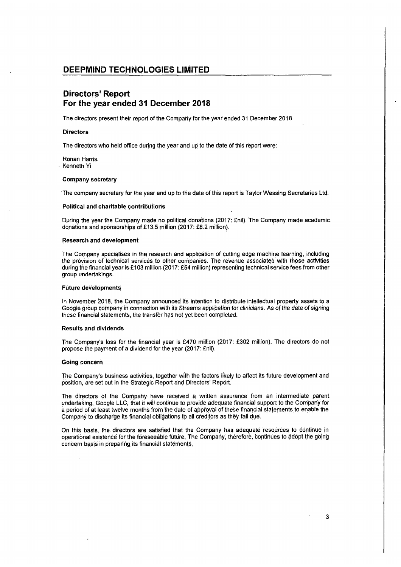## Directors' Report For the year ended 31 December 2018

The directors present their report of the Company for the year ended 31 December 2018.

#### **Directors**

The directors who held office during the year and up to the date of this report were:

Ronan Harris. Kenneth Yi

#### Companysecretary

'The companysecretary for the year and up to the date ofthis report is Taylor Wessing Secretaries Ltd.

#### Political and charitable contributions

During the year the Company made no political donations (2017: £nil). The Company made academic donations and sponsorships of £13.5 million (2017: £8.2 million).

### Research and development

The Company specialises in the research and application of cutting edge machine learning, including the provision of technical services to other companies. The revenue associated with those activities during the financial year is £103 million (2017: £54 million) representing technical service fees from other group undertakings.

#### Future developments

In November 2018, the Company announcedits intention to distribute intellectual property assets to a Google group companyin connection with its Streams application for clinicians. As of the date of signing these financial statements, the transfer has not yet been completed.

### Results and dividends

The Company's loss for the financial year is £470 million (2017: £302 million). The directors do not propose the payment of a dividend for the year (2017: £nil).

#### Going concern

The Company's business activities, together with the factors likely to affect its future development and position, are set out in the Strategic Report and Directors' Report.

The directors. of the Company have. received a written assurance from an intermediate parent. undertaking, Google LLC, that it will continue to provide adequate financial support to the Company for a period of at least twelve months from the date of approval of these financial statements to enable the Company to discharge its financial obligations to all creditors as they fall due.

On this basis; the directors are satisfied that the Company has adequate resources to continue in operational existence for the foreseeable future. The Company, therefore, continues to adopt the going concern basis in preparing its financial statements.

 $\overline{3}$ 

 $\mathbf{I}$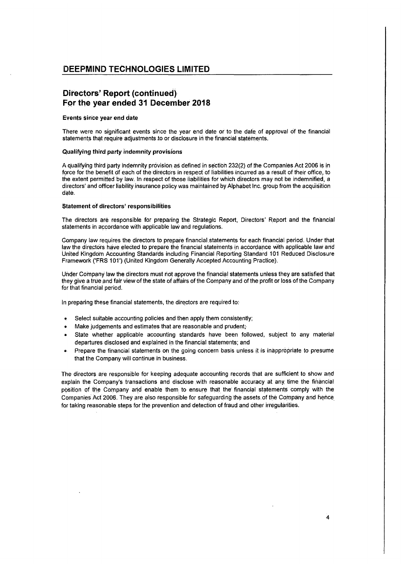# Directors' Report (continued). For the year ended 31 December 2018

### Events since year end date

There were no significant events since the year end date or to the date of approval of the financial statements that require adjustments to or disclosure in the financial statements.

### Qualifying third party indemnity provisions

A qualifying third party indemnity provision as defined in section 232(2) of the Companies Act 2006is in force for the benefit of each of the directors in respect of liabilities incurred as a result of their office, to the extent permitted by law. In respect of those liabilities for which directors may not be indemnified, a directors' and officer liability insurance policy was maintained by AlphabetInc. group from the acquisition date.

### Statement of directors' responsibilities

The directors aré responsible for preparing the Strategic Report, Directors' Report and the financial statements in accordance with applicable law and regulations.

Company law requires the directors to prepare financial statements for each financial period. Under that law the directors have elected to prepare the financial statements in accordance with applicable law and United Kingdom Accounting Standards including Financial Reporting Standard 101 Reduced Disclosure Framework ('FRS 101°) (United Kingdom Generally Accepted Accounting Practice).

Under Company law the directors must not approve the financial statements unless they are satisfied that they give a true and fair view of the state of affairs of the Company and of the profit or loss of the Company for that financial period.

In preparing these financial statements, the directors are required to:

- Select suitable accounting policies and then apply them consistently;
- Make judgements and estimates that are reasonable and prudent;
- » State whether applicable accounting standards have been followed, subject to any material departures disclosed and explained in the financial statements; and
- e. Prepare the financial statements on the going concern basis unlessit is inappropriate to presume that the Companywill continue in business.

The directors are responsible for keeping adequate accounting records that are sufficient to show and explain the Company's transactions and disclose with reasonable accuracy at any time the financial position of the Company and enable them to ensure that the financial statements comply with the Companies Act 2006. They are also responsible for safeguarding the assets of the Company and hence for taking reasonable steps for the prevention and detection of fraud and other irregularities.

 $\vert$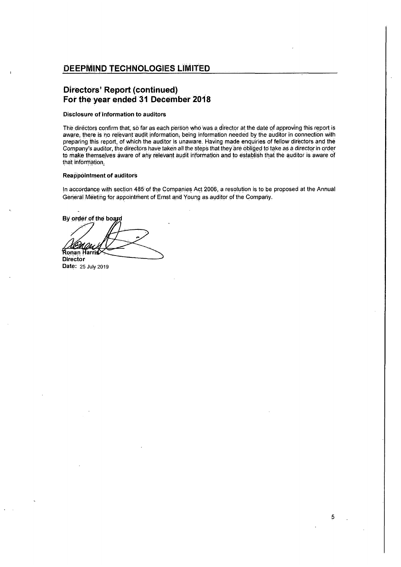## Directors' Report (continued) For the year ended 31 December 2018

## Disclosure of information to auditors

The directors confirm that, so far as each person who was a director at the date of approving this report is aware; there is no relevant audit information, being information needed by the auditor in connection with preparing this report, of which the auditor is unaware. Having made enquiries of fellow directors and the Company's auditor, the directors have taken all the steps that they are obliged to take as a director in order to make themselves aware of any relevant audit information and to establish that the auditor is aware of that information,

### **Reappointment of auditors**

In accordance with section 485'of the Companies Act 2006, a resolution is to be proposedat the Annual General Meeting for appointment of Ernst and Young as auditor of the Company.

By order of the board that information.<br>Reappointment of<br>In accordance with<br>General Meeting for<br>By order of the bo **Director** 

Date: 25 July 2019

 $\begin{array}{c} \hline \end{array}$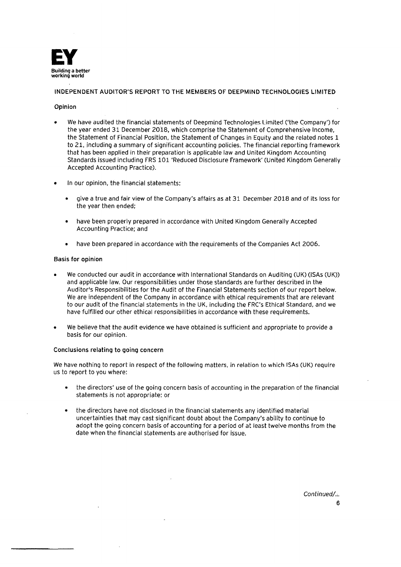

## INDEPENDENT AUDITOR'S REPORT TO THE MEMBERS OF DEEPMIND TECHNOLOGIES LIMITED

## Opinion

- We have audited the financial statements of Deepmind Technologies Limited ('the Company') for the year ended 31 December 2018, which comprise the Statement of Comprehensive Income, the Statement of Financial Position, the Statement of Changes in Equity and the related notes 1 to 21, including a summary of significant accounting policies. The financial reporting framework that has been applied in their preparation is applicable law and United Kingdom Accounting Standards issued including FRS 101 'Reduced Disclosure Framework' (United Kingdom Generally Accepted Accounting Practice).
- in our opinion, the financial statements:
	- give a true and fair view of the Company's affairs as at 31 December 2018 and of its loss for the year then ended;
	- <sup>e</sup> have been properly prepared in accordance with United Kingdom Generally Accepted Accounting Practice; and
	- e have been prepared in accordance with the requirements of the Companies Act 2006.

## Basis for opinion

- We conducted our audit in accordance with International Standards on Auditing (UK) (ISAs (UK)) and applicable law. Our responsibilities under those standards are further described in the Auditor's Responsibilities for the Audit of the Financial Statements section of our report below. We are independent of the Company in accordance with ethical requirements that are relevant to our audit of the financial statements in the UK, including the FRC's Ethical Standard, and we have fulfilled our other ethical responsibilities in accordance with these requirements.
- We believe that the audit evidence we have obtained is sufficient and appropriate to provide <sup>a</sup> basis for our opinion.

## Conclusions relating to going concern

We have nothing to report in respect of the following matters, in relation to which ISAs (UK) require us to report to you where:

- e the directors' use of the going concern basis of accounting in the preparation of the financial statements is not appropriate: or
- <sup>e</sup> the directors have not disclosed in the financial statements any identified material uncertainties that may cast significant doubt about the Company's ability to continue to adopt the going concern basis of accounting for a period of at least twelve months from the date when the financial statements are authorised for issue.

Continued/.:. 6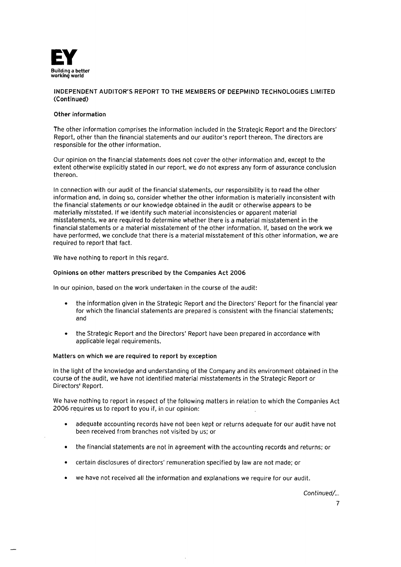

## INDEPENDENT AUDITOR'S REPORT TO THE MEMBERSOF DEEPMIND TECHNOLOGIESLIMITED (Continued)

## Other information

The other information comprises the information included in the Strategic Report and the Directors' Report, other than the financial statements and our auditor's report thereon. The directors are responsible for the other information.

Our opinion on the financial statements does not cover the other information and, except to the extent otherwise explicitly stated in our report, we do not express any form of assurance conclusion thereon.

In connection with our audit of the financial statements, our responsibility is to read the other information and, in doing so, consider whether the other information is materially inconsistent with the financial statements or our knowledge obtained in the audit or otherwise appears to be materially misstated. If we identify such material inconsistencies or apparent material misstatements, we are required to determine whether there is <sup>a</sup> material misstatementin the financial statements or a material misstatement of the other information. If, based on the work we have performed, we conclude that there is <sup>a</sup> material misstatement of this other information, we are required to report that fact.

We have nothing to report in this regard.

## Opinions on other matters prescribed by the Companies Act 2006

in our opinion, based on the work undertaken in the course of the audit:

- the information given in the Strategic Report and the Directors' Report for the financial year for which the financial statements are prepared is consistent with the financial statements; and
- e the Strategic Report and the Directors' Report have been prepared in accordance with applicable legal requirements.

## Matters on which we are required to report by exception

in the light of the knowledge and understanding of the Companyand its environment obtained in the course of the audit, we have not identified material misstatements in the Strategic Report or Directors' Report.

We have nothing to report in respect of the following matters in relation to which the Companies Act 2006 requires us to report to you if, in our opinion:

- <sup>e</sup> adequate accounting records have not been kept or returns adequate for our audit have not been received from branches not visited by us; or
- <sup>e</sup> the financial statements are not in agreement with the accounting records and returns; or
- certain disclosures of directors' remuneration specified by law are not made; or
- we have not received all the information and explanations we require for our audit.

Continued/..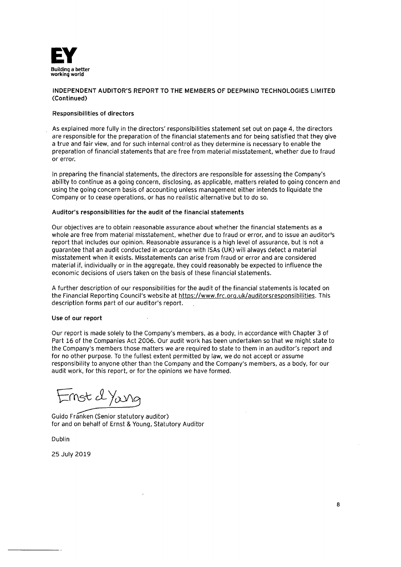

## INDEPENDENT AUDITOR'S REPORT TO THE MEMBERS OF DEEPMIND TECHNOLOGIES LIMITED (Continued)

## Responsibilities of directors

As explained more fully in the directors' responsibilities statement set out on page 4, the directors are responsible for the preparation of the financial statements and for being satisfied that they give a true and fair view, and for such internal control as they determine is necessary to enable the preparation of finaricial statements that are free from material misstatement, whether due to fraud or error.

In preparing the financial statements, the directors are responsible for assessing the Company's ability to continue as a going concern, disclosing, as applicable, matters related to going concern and using the going concern basis of accounting unless management either intends to liquidate the Company or to cease operations, or has no realistic alternative but to do so.

## Auditor's responsibilities for the audit of the financial statements

Our objectives are to obtain reasonable assurance about whetherthe financial statements as <sup>a</sup> whole are free from material misstatement, whether due to fraud or error, and to issue an auditor's report that includes our opinion. Reasonable assuranceis <sup>a</sup> high level of assurance, but is nota guarantee that an audit conducted in accordance with ISAs (UK) will always detect a material misstatement when it exists. Misstatements can arise from fraud or error and are considered material if, individually or in the aggregate, they could reasonably be expected to influence the economic decisions of users taken on the basis of these financial statements.

A further description of our responsibilities for the audit of the financial statements is located on the Financial Reporting Council's website at https://www.frc.org.uk/auditorsresponsibilities. This description forms part of our auditor's report.

## Use of our report

Our report is made solely to the Company's members, as <sup>a</sup> body, in accordance with Chapter3 of Part 16 of the Companies Act 2006. Our audit work has been undertaken so that we might state to the Company's members those matters we are required to state to them in an auditor's report and for no other purpose. To the fullest extent permitted by law, we do not accept or assume responsibility to anyone other than the Company and the Company's members, as a body, for our audit work, for this report, or for the opinions we have formed.

 $T$ nst $d$ Yang

Guido Franken (Senior statutory auditor) for and on behalf of Ernst & Young, Statutory Auditor

Dublin

25 July 2019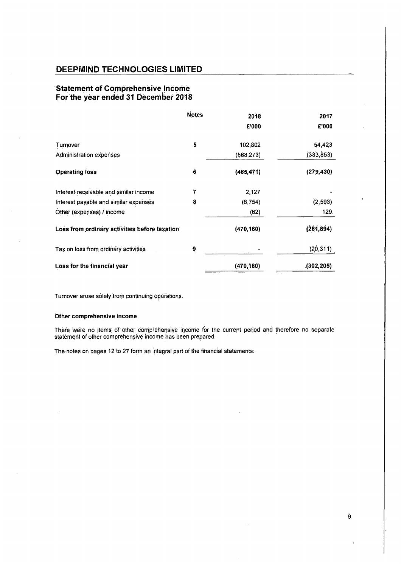## 'Statement of Comprehensive lncome For the year ended 31 December 2018

| DEEPMIND TECHNOLOGIES LIMITED                                                                                                                                                                                                  |              |            |            |
|--------------------------------------------------------------------------------------------------------------------------------------------------------------------------------------------------------------------------------|--------------|------------|------------|
| <b>Statement of Comprehensive Income</b><br>For the year ended 31 December 2018                                                                                                                                                |              |            |            |
|                                                                                                                                                                                                                                | <b>Notes</b> | 2018       | 2017       |
|                                                                                                                                                                                                                                |              | £'000      | £'000      |
|                                                                                                                                                                                                                                |              |            | 54,423     |
| Turnover                                                                                                                                                                                                                       | $\mathbf{5}$ | 102,802    |            |
| <b>Administration expenses</b>                                                                                                                                                                                                 |              | (568, 273) | (333, 853) |
|                                                                                                                                                                                                                                | $\bf{6}$     | (465, 471) | (279, 430) |
|                                                                                                                                                                                                                                | 7            | 2,127      |            |
|                                                                                                                                                                                                                                | 8            | (6, 754)   | (2, 593)   |
|                                                                                                                                                                                                                                |              | (62)       | 129.       |
|                                                                                                                                                                                                                                |              | (470, 160) | (281, 894) |
| <b>Operating loss</b><br>Interest receivable and similar income<br>Interest payable and similar expenses<br>Other (expenses) / income<br>Loss from ordinary activities before taxation<br>Tax on loss from ordinary activities | 9            |            | (20, 311)  |

Turnover arose solely from continuing operations.

## Other comprehensive income

There were no items of other comprehensive income for the current period and therefore no separate statement of other comprehensive income has been prepared.

The notes on pages 12 to 27 form an integral part of the financial statements.

 $\mathbf{r}$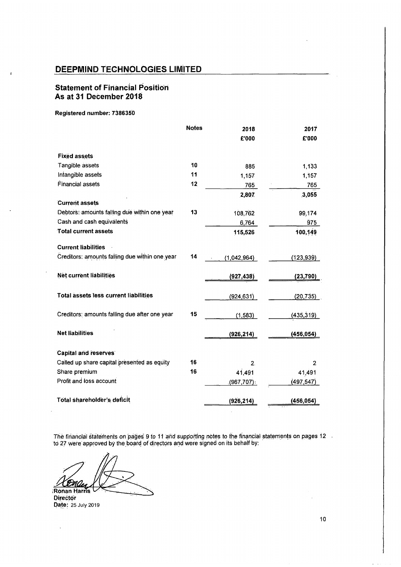# **Statement of Financial Position** As at 31 December 2018

## Registered number: 7386350

 $\overline{1}$ 

| DEEPMIND TECHNOLOGIES LIMITED                                           |              |                  |                  |
|-------------------------------------------------------------------------|--------------|------------------|------------------|
| <b>Statement of Financial Position</b><br><b>As at 31 December 2018</b> |              |                  |                  |
| Registered number: 7386350                                              |              |                  |                  |
|                                                                         | <b>Notes</b> | 2018             | 2017             |
|                                                                         |              | £'000            | £'000            |
| <b>Fixed assets</b>                                                     |              |                  |                  |
| Tangible assets                                                         | 10           | 885              | 1,133            |
| Intangible assets                                                       | 11           | 1,157            | 1,157            |
| Financial assets                                                        | 12           | 765              | 765              |
|                                                                         |              | 2,807            | 3,055            |
| <b>Current assets</b><br>Debtors: amounts falling due within one year   | 13           |                  |                  |
| Cash and cash equivalents                                               |              | 108,762<br>6,764 | 99,174<br>975    |
| <b>Total current assets</b>                                             |              | 115,526          | 100,149          |
|                                                                         |              |                  |                  |
| <b>Current liabilities</b>                                              |              |                  |                  |
| Creditors: amounts falling due within one year                          | 14           | (1,042,964)      | (123, 939)       |
| Net current liabilities                                                 |              |                  |                  |
|                                                                         |              | (927, 438)       | (23,790          |
| Total assets less current liabilities                                   |              | (924, 631)       | <u>(</u> 20,735) |
|                                                                         |              |                  |                  |
| Creditors: amounts falling due after one year                           | 15           | (1, 583)         | (435, 319)       |
|                                                                         |              |                  |                  |
| <b>Net liabilities</b>                                                  |              | (926, 214)       | (456, 054)       |
| Capital and reserves                                                    |              |                  |                  |
| Called up share capital presented as equity                             | 16           | 2.               | 2                |
| Share premium                                                           | 16           | 41,491           | 41,491           |
| Profit and loss account                                                 |              | $(967, 707)$ .   | (497, 547)       |
|                                                                         |              |                  |                  |
| Total shareholder's deficit                                             |              | (926, 214)       | (456, 054)       |

The financial statements on pages 9 to 11 and supporting notes to the financial statements on pages 12 the financial statements on pages 9 to 11 and supporting hotes to the financia<br>to 27 were approved by the board of directors and were signed on its behalf by:

Ronan Harris Total shareholder<br>he financial statem<br>27 were approved<br>22 Martis

Director Date: 25 July 2019

 $\ddot{\phantom{0}}$ 

Ļ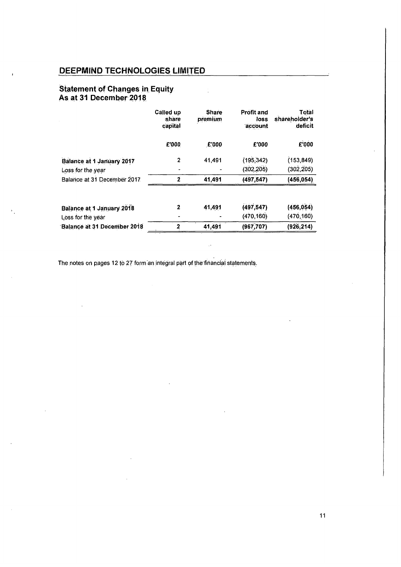# **Statement of Changes in Equity** As at 31 December 2018

|                                                                                                                                                                                                                                                                    | Called up<br>share<br>capital | <b>Share</b><br>premium | <b>Profit and</b><br>loss<br>account | Total<br>shareholder's<br>deficit |
|--------------------------------------------------------------------------------------------------------------------------------------------------------------------------------------------------------------------------------------------------------------------|-------------------------------|-------------------------|--------------------------------------|-----------------------------------|
|                                                                                                                                                                                                                                                                    | £'000                         | E'000                   | £'000                                | £'000                             |
|                                                                                                                                                                                                                                                                    | $\mathbf 2$                   | 41,491                  | (195, 342)                           | (153, 849)                        |
|                                                                                                                                                                                                                                                                    |                               |                         | (302, 205)                           | (302, 205)                        |
|                                                                                                                                                                                                                                                                    | $\mathbf{2}$                  | 41,491                  | (497, 547)                           | (456, 054)                        |
|                                                                                                                                                                                                                                                                    |                               |                         |                                      |                                   |
|                                                                                                                                                                                                                                                                    | $\mathbf 2$                   | 41,491                  | (497, 547)                           | (456, 054)                        |
| DEEPMIND TECHNOLOGIES LIMITED<br><b>Statement of Changes in Equity</b><br>As at 31 December 2018<br>Balance at 1 January 2017<br>Loss for the year<br>Balance at 31 December 2017<br>Balance at 1 January 2018<br>Loss for the year<br>Balance at 31 December 2018 | $\overline{\mathbf{2}}$       | 41,491                  | (470, 160)<br>(967, 707)             | (470, 160)<br>(926, 214)          |

ų.

The notes on pages 12 to 27 form an integral part of the financial statements.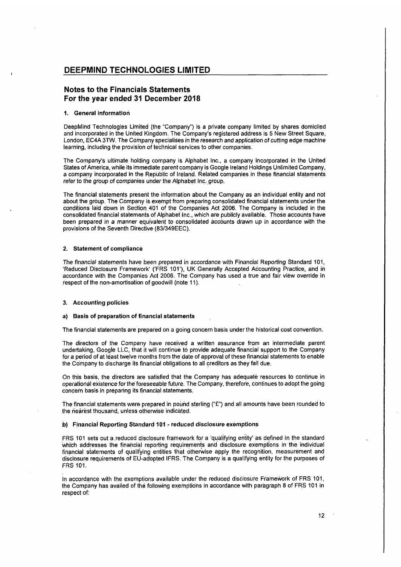## Notes to the Financials Statements For the year ended 31 December 2018

#### 1. General information

DeepMind Technologies Limited (the "Company") is a private companylimited by shares domiciled and incorporated in the United Kingdom. The Company's registered address is 5 New Street Square, London, EC4A 3TW. The Companyspecialises in the research and application of cutting edge machine learning, including the provision of technical services to other companies.

The Company's ultimate holding company is Alphabet Inc., a company incorporated in the United States of America, while its immediate parent companyis Google Ireland Holdings Unlimited Company, <sup>a</sup> companyincorporated in the Republic of Ireland. Related companiesin these financial statements refer to the group of companies under the Alphabet Inc. group.

The financial statements present the information about the Company as an individual entity and not about the group. The Company is exempt from preparing consolidated financial statements under the conditions laid down in Section 401 of the Companies Act 2006. The Company is included in the consolidated financial statements of Alphabet Inc., which are publicly available. Those accounts have been prepared in a manner equivalent to consolidated accounts drawn up in accordance with the provisions of the Seventh Directive (83/349EEC).

#### 2. Statement of compliance

The financial statements have been prepared in accordance with Financial Reporting Standard 104, 'Reduced Disclosure Framework' ('FRS 101'), UK Generally Accepted Accounting Practice, and in accordance with the Companies Act 2006. The Company has used a true and fair view override in respect of the non-amortisation of goodwill (note 11).

### 3. Accounting policies

### a) Basis of preparation of financial.statements

The financial statements are prepared on a going concern basis under the historical cost convention.

The directors of the Company have received a written assurance from an intermediate parent undertaking, Google LLC, that it will continue to provide adequate financial support to the Company for a period of at least twelve months from the date of approval of these financial statements to enable the Company to discharge its financial obligations to all creditors as they fall due.

On this basis, the directors are satisfied that the Company has adequate resources to continue in operational existence for the foreseeable future. The Company, therefore, continues to adopt the going concern basis in preparing its financial statements.

The financial statements were prepared in pound sterling ("£") and all amounts have been rounded to the nearest thousand, unless otherwise indicated.

### b) Financial Reporting Standard 101 - reduced disclosure exemptions

FRS 101 sets out a reduced disclosure framework for a 'qualifying entity' as defined in the standard which addresses the financial reporting requirements and disclosure exemptions in the individual financial statements of qualifying entities that otherwise apply the recognition, measurement and disclosure requirements of EU-adopted IFRS. The Companyis <sup>a</sup> qualifying entity for the purposes of **FRS 101.** 

In accordance with the exemptions available under the reduced disclosute Framework of FRS 101, the Company has availed of the following exemptions in accordance with paragraph 8 of FRS 101 in respect of:

 $\mathbf{I}$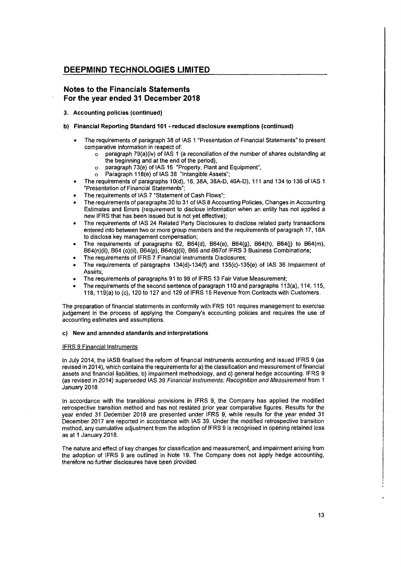## Notes to the Financials Statements For the year ended 31 December 2018

- 3: Accounting policies (continued)
- b) Financial Reporting Standard 101 reduced disclosure exemptions (continued)
	- The requirements of paragraph 38 of IAS 1 "Presentation of Financial Statements" to present comparative information in respect of:
		- $\circ$  paragraph 79(a)(iv) of IAS 1 (a reconciliation of the number of shares outstanding at. the beginning and at the end of the period),
		- © paragraph 73(e) of IAS 16 "Property, Plant and Equipment",
		- o Paragraph 118(é) of IAS 38 "Intangible Assets";
	- <sup>e</sup> The requirements of paragraphs 10(d), 16, 38A, 38A-D, 40A-D), 111 and 134 to 136 of IAS <sup>1</sup> "Presentation of Financial Statements';
	- The requirements of IAS 7 "Statement of Cash Flows";
	- The requirements of paragraphs 30 to 31 of IAS 8 Accounting Policies, Changes in Accounting Estimates and Errors (requirement to disclose information when an entity has not applied a new IFRS that has been issued but is not yet effective); :
	- e The requirements of IAS 24 Related'Party Disclosures to disclose related party transactions enteredinto between two or more group members and the requirements of paragraph 17, 18A to disclose key fnanagement compensation;
	- The requirements of paragraphs 62,  $B64(d)$ ,  $B64(e)$ ,  $B64(g)$ ,  $B64(h)$ ,  $B64(i)$  to  $B64(m)$ , B64(n)(ii), B64(o)(ii), B64(p), B64(q)(ii), B66 and BG7of IFRS 3 Business Combinations;
	- The requirements of IFRS 7 Financial instruments Disclosures;
	- The requirements of paragraphs 134(d)-134(f) and 135(c)-135(e) of IAS 36 Impairment of Assets;
	- The requirements of paragraphs 91 to 99 of IFRS 13 Fair Value Measurement:
	- The requirements of the second sentence of paragraph 110 and paragraphs 113(a), 114, 115, 118, 119(a) to (c), 120 to 127 and 129 of IFRS 15 Revenue from Contracts with Customers.

The preparation of financial statements in conformity with FRS <sup>101</sup> requires managementto exercise judgement in the process of applying the Company's accounting policies and requires the use of accounting estimates and assumptions.

## c) New and amended standards and interpretations

## IFRS 9 Financial Instruments

In July 2014, the IASB finalised the reform of financial instruments accounting and issued IFRS 9 (as revised in 2014), which contains the requirements for a) the classification and measurement of financial assets and financial liabilities, b) impairment methodology, and c) general hedge accounting. IFRS 9 (as revised in 2014) superseded IAS 39 Financial Instruments: Recognition and Measurementfrom <sup>4</sup> January 2018:

In accordance with the transitional provisions in IFRS 9, the Company has applied the modified retrospective transition method and has not restated prior year comparative figures. Results for the year ended 31 December 2018 are presented under IFRS 9, while results for the year ended 31 December2017 are reported in accordance with IAS 39. Underthe modified retrospective transition method, any cumulative adjustment from the adoption of IFRS 9 is recognised in opening retained loss as at <sup>1</sup> January 2018.

The nature and effect of key changes for classification and measurement, and impairment arising from the adoption of IFRS 9 are outlined in Note 19. The Company does not apply hedge accounting, therefore no further disclosures have been provided.

ļ.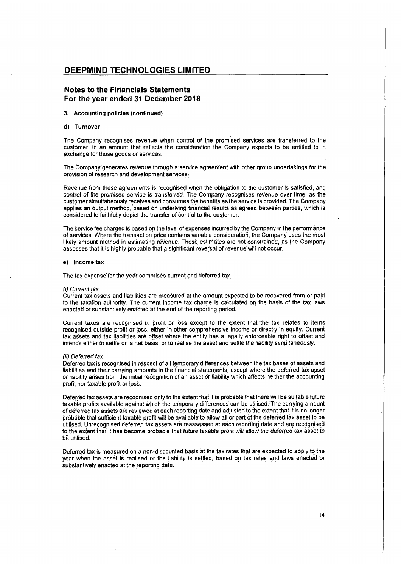## Notes to the Financials Statements For the year ended 31 December 2018

### 3. Accounting policies (continued)

#### d) Turnover

The Company recognises revenue when control of the promised services aretransferred to the customer, in an amount that reflects the consideration the Company expects to be entitled to in exchange for those goods or services.

The Company generates revenue through a service agreement with other group undertakings for the provision of research and development services.

Revenue from these agreements is recognised when the obligation to the customer is satisfied, and control of the promised service is transferred. The Company recognises revenue over time, as the customer simultaneously receives and consumesthe benefits as the service is provided. The Company applies an output method, based on underlying financial results as agreed between parties, whichis considered to faithfully depict the transfer of control to the customer.

The service fee charged is based on the level of expenses incurred by the Company in the performance of services. Where the transaction price contains variable consideration, the Company uses the most likely amount method in estimating revenue. These estimates are not constrained, as the Company assesses that it is highly probable that a significant reversal of revenue will not occur.

### e) Income tax

The tax expense for the year comprises current and deferred tax.

#### (i) Current tax

Current tax assets and liabilities are measured at the amount expected to be recovered from or paid to the taxation authority. The current income tax charge is calculated on the basis of the tax laws enacted or substantively enacted at the end of the reporting period.

Current taxes are recognised in profit or loss except to the extent that the tax relates to items recognised outside profit or loss, either in other comprehensive income or directly in equity. Current tax assets and tax liabilities are offset where the entity has a legally enforceable right to offset and intends either to settle on a net basis, or to realise the asset and settle the liability simultaneously.

### (ii) Deferred tax

Deferred tax is recognised in respect of all temporary differences between the tax bases of assets and liabilities and their carrying amountsin the financial statements, except where the deferred tax asset of liability arises from the initial recognition of an asset or liability which affects neither the accounting profit nor taxable profit or loss.

Deferred tax assets are recognised only to the extent that it is probable that there will be suitable future taxable profits available against which the temporary differences can be utilised. The carrying amount of deferred tax assets are reviewed at each reporting date and adjustedto the extentthatit is no longer probable that sufficient taxable profit will be available to allow all or part of the deferred tax asset to be utilised. Unrecognised deferred tax assetsare reassessed at each reporting date and are recognised to the extent that it has become probable that future taxable profit will allow the deferred tax asset to be utilised.

Deferred tax is measured on a non-discounted basis at the tax rates that are expected to apply to the year when the asset is realised or the liability is settled, based on tax rates and laws enacted or substantively enacted at the reporting date:

 $\begin{array}{c} \hline \end{array}$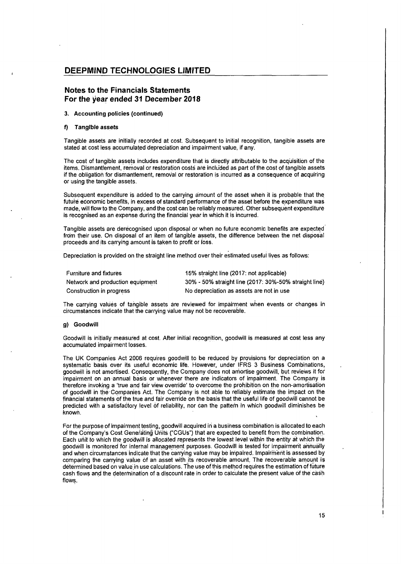## Notes to the Financials Statements For the year ended 31 December 2018

## 3. Accounting policies (continued)

#### f) Tangible assets

Tangible assets are initially recorded at cost. Subsequent to initial recognition, tangible assets are stated at cost less accumulated depreciation and impairment value, if any.

The cost of tangible assets includes expenditure that is directly attributable to the acquisition of the items. Dismantlement, removal or restoration costs are included as part of the cost of tangible assets if the obligation for dismantlement, removal or restoration is incurred as a consequence of acquiring or using the tangible assets.

Subsequent expenditure is added to the carrying amount of the asset when it is probable that the future economic benefits, in excess of standard performance of the asset before the expenditure was made,will flow to the Company, and the cost can be reliably measured. Other subsequent expenditure is recognised as an expense during the financial year in which it is incurred.

Tangible assets are derecognised upon disposal or when no future economic benefits are expected from their use. On disposal of an item of tangible assets, the difference between the net disposal proceeds and its carrying amount is taken to profit or loss.

Depreciation is provided on the straight line method overtheir estimated useful lives as follows:

| <b>Furniture and fixtures</b>    | 15% straight line (2017: not applicable)              |
|----------------------------------|-------------------------------------------------------|
| Network and production equipment | 30% - 50% straight line (2017: 30%-50% straight line) |
| Construction in progress         | No depreciation as assets are not in use              |

The carrying values of tangible assets are reviewed for impairment when events or changes in circumstancesindicate that the carrying value may not be recoverable.

### g) Goodwill

Goodwill is initially measured at cost. After initial recognition, goodwill is measured at cost less any accumulated impairment losses.

The UK Companies Act 2006 requires goodwill to be reduced by provisions for depreciation on <sup>a</sup> systematic basis over its useful economic life. However, under IFRS 3 Business Combinations, goodwill is not amortised. Consequently, the Company does not amortise goodwill, but reviewsit for impairment on an-annual basis or whenever there are indicators of impairment. The Company is therefore invoking a 'true and fair view override' to overcome the prohibition on the non-amortisation of goodwill in the-Companies Act. The Company 'is not able to reliably estimate the impact on the financial statements of the true and fair override on the basis that the useful life of goodwill cannot be predicted with a satisfactory level of reliability, nor can the pattern in which goodwill diminishes be known.

For the purpose of impairment testing, goodwill acquired in a business combination is allocated to each of the Company's Cost Generating Units ("CGUs') that are expected to benefit from the combination. Each unit to which the goodwill is allocated représerits the lowest level within the entity at which the goodwill is monitored for internal management purposes. Goodwill is tested for impairment annually and when circumstances indicate that the carrying value may be impaired. Impairment is assessed by comparing the carrying value of an asset with its recoverable amount, The recoverable amountis determined based on value in use calculations. The use of this method requires the estimation of future cash flows and the determination of a discount rate in order to calculate the present value of the cash flows.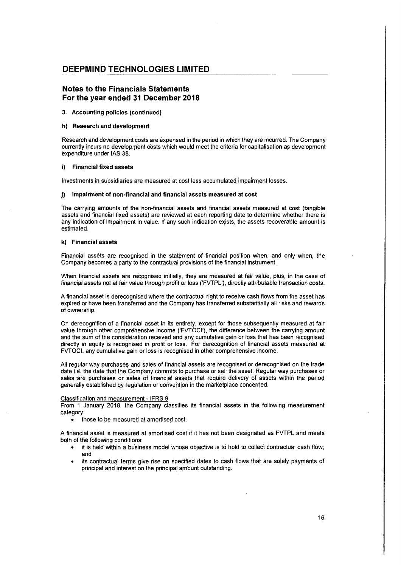## Notes to the Financials Statements For the year ended 31 December 2018

### 3. Accounting policies (continued)

#### h) Research and development

Research and development costs are expensed in the period in which they are incurred. The Company currently incurs no development costs which would meet the criteria for capitalisation as development. expenditure under IAS 38.

## 'i) Financial fixed assets

Investments in subsidiaries are measured at cost less accumulated impairment losses.

### j) Impairment of non-financial and financial assets measured at cost

The carrying amounts of the non-financial assets and financial assets measured at cost (tangible assets and financial fixed assets) are reviewed at each reporting date to determine whether there is any indication of impairment in value. If any such indication exists, the assets recoverable amountis estimated.

### k) Financial assets

Financial asséts are recognised in the statement of financial position when, and only when, the Company becomes a party to the contractual provisions of the financial instrument.

When financial assets are recognised initially, they are measured at fair value, plus, in the case of financial assets not at fair value through profit or loss ('FVTPL'), directly attributable transaction costs.

A financial asset is derecognised where the contractual right to receive cash flows from the asset has 'expired or have been transferred and the Company has transferred substantially all risks and rewards of ownership.

On derecognition of <sup>a</sup> financial assetin its entirety, except for those subsequently measured at fair value through other compréhensive income ('FVTOCI), the difference between the carrying amount and the sum of the consideration received and any cumulative gain or loss that has been recognised directly in equity is recognised in profit or loss. For derecognition of financial assets measured at FVTOCI, any cumulative gain or loss is recognised in other comprehensive income.

All regular way purchases and sales of financial assets are recognised or derecognised on the trade date i.e. the date that the Company commits to purchase or sell the asset. Regular way purchases or sales are purchases or sales of financial assets that require delivery of assets within the period generally established by regulation or convention in the marketplace concerned.

#### Classification and measurement - IFRS 9

From <sup>1</sup> January 2018, the Company classifies its financial assets in the. following measurement category:

<sup>e</sup> those to be measured at amortised cost:

A financial asset is measured at amortised costif it has not been designated as FVTPLand meets both of the following conditions:

- it is held within a business model whose objective is to hold to collect contractual cash flow; and
- ¢ its contractual terms give rise on specified dates to cash flows that are solely payments of principal and interest on the principal amount outstanding.

16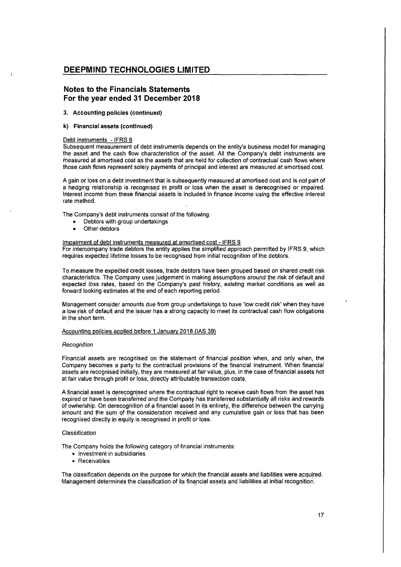## Notes to the Financials Statements For the year ended 31 December 2018

### 3. Accounting policies (continued)

### k) 'Financial assets (continued)

### Debt instruments - IFRS 9

Subsequent measurement of debt instruments depends on the entity's business model for managing the asset and the cash flow characteristics of the asset. All the Company's debt instruments are measured at amortised cost as the assets that are held for collection of contractual cash flows where those cash flows represent solely payments of principal and interest are measured at amortised cost.

A gain or loss on a debt investment that is subsequently measured at amortised cost and is not part of a hedging relationship is recognised in profit or toss when the asset is derecognised or impaired. Interest income from these financial assetsis included in finance income using the effective interest rate method.

The Company's debt instruments consist of the following:

- Debtors with group undertakings
- Other debtors

### Impairment of debt instruments measured at amortised cost - IFRS 9

For intercompany trade debtors the entity applies the simplified approach permitted by IFRS 9, which requires expected lifetime losses to be recognised from initial recognition of the debtors.

To measure the expected credit losses, trade debtors have been grouped based on sharedcredit risk characteristics. The Company uses judgement in making assumptions around the risk of default and expected loss rates, based on the Company's past history, existing market conditions as well as forward looking estimates at the end of each reporting period.

Management consider amounts due from group undertakings to have 'low credit risk' when they have a low risk of default and the issuer has a strong capacity to meet its contractual 'cash flow obligations in the short term.

### Accounting policies applied before <sup>1</sup> January2018 (IAS 39)

#### **Recognition**

.<br>Financial assets are recognised on the statement of financial position when, and only when, the<br>Company becomes a party to the contractual provisions of the financial instrument. When financial Company becomes a party to the contractual provisions of the financial instrument. When financial assets not assets not at fair value through profit orloss, directly attributable transaction costs.

A financial assetis derecognised where the contractual right to receive cash flows from the asset has A infancial assetts defectognised where the company has transferred substantially all risks and rewards<br>expired or have been transferred and the Company has transferred substantially all risks and rewards<br>of ownership. On of ownership. On derecognition of a financial asset in its entirety, the difference between the carrying<br>amount and the sum of the consideration received and any cumulative gain or loss that has been recognised directly in equity is recognised in profit or loss.

### **Classification**

The Company holds the following category of financial instruments:

- \* Investment in subsidiaries
- e Receivables

The classification depends on the purpose for which the financial assets and liabilities were acquired. Management determines the classification of its financial assets and liabilities at initial recognition.

 $\vert$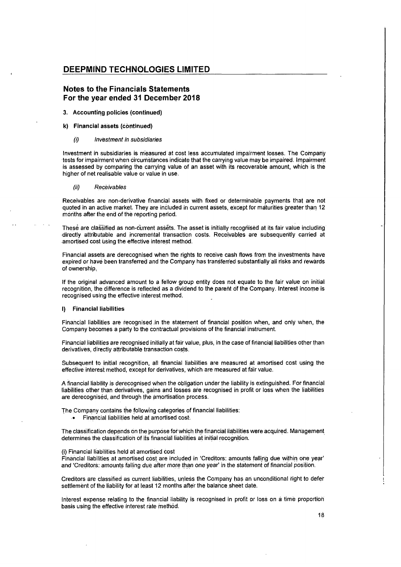## Notes to the Financials Statements For the year ended 31 December 2018

#### 3. Accounting policies (continued)

#### k) Financial assets (continued)

#### (i) Investment in subsidiaries

Investment in subsidiaries is measured at cost less accumulated impairment losses. The Company 'tests for impairment when circumstancesindicate that the carrying value may be impaired. Impairment is assessed by comparing the carrying value of an asset with its recoverable amount, which is the higher of net realisable value or value in use.

#### (ii) Receivables

Receivables are non-derivative financial assets with fixed or determinable payments that are not 'quoted in an active market. They are included in current assets, except for maturities greater than 12 months after the end of the reporting period.

These are classified as non-current assets. The asset is initially recognised at its fair value including 'directly attributable and incremental transaction costs. Receivables are subsequently carried at -amortised cost using the effective interest method.

Financial assets are derecognised when the rights to receive cash flows from the investments have expired or have been transferred and the Company has transferred substantially all risks and rewards of ownership,

If the original advanced amount to a fellow group entity does not equate to the fair value on initial recognition, the difference is reflected as a dividend to the parent of the Company. Interest income is recognised using the effective interest method.

### **I)** Financial liabilities

Financial liabilities are recognised in the statement of financial position when, and only when, the<br>Company becomes a party to the contractual provisions of the financial instrument.

Financial liabilities are recognised initially at fair value, plus, in the case of financial liabilities other than derivatives, directly attributable transaction costs.

Subsequent to initial recognition, all financial liabilities are measured at amortised cost using the effective interest method, except for derivatives, which are measured at fair value.

A financial liability is derecognised when the obligation under the liability is extinguished. For financial liabilities other than derivatives, gains and losses are recognised in profit or loss when the liabilities are derecognised, and through the amortisation process.

The Company contains the following categories of financial liabilities:

Financial liabilities held at amortised cost.

The classification depends on the purpose for which the financial liabilities were acquired. Management determines the classification of its financial liabilities at initial recognition.

#### (i) Financial liabilities held at amortised cost

Financialliabilities at amortised cost are included in 'Creditors: amountsfalling due within one year' and 'Creditors: amounts falling due after more than one year' in the statement of financial position.

Creditors are classified as current liabilities, unless the Company has an unconditional right to defer settlement of the liability for at least 12 months after the balance sheet date.

interest expenserelating to the financialliability is recognisedin profit or loss on <sup>a</sup> time proportion basis using the effective interest rate method.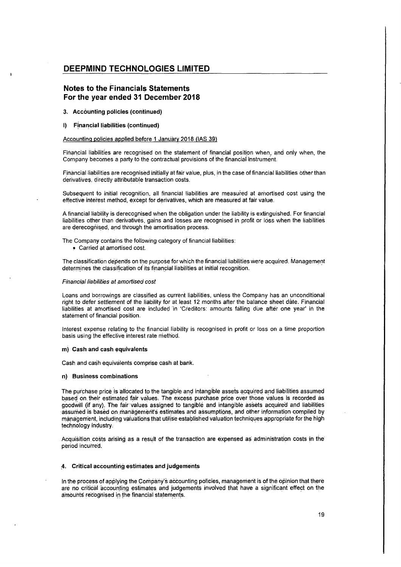## Notes to the Financials Statements For the year ended 31 December 2018

- 3. Accounting policies (continued)
- 1) Financial liabilities (continued)

### Accounting policies applied before 1 January 2018 (IAS 39)

.<br>Financial liabilities are recognised on the statement of financial position when, and only when, the<br>Company becomes a party to the contractual provisions of the financial instrument.

Financial liabilities are recognised initially at fair value, plus, in the case of financial liabilities other than derivatives, diréctly attributable transaction costs.

Subsequent to initial recognition, all financial liabilities are measured at amortised cost using the effective interest method, except for derivatives, which are measuredat fair value.

A financial liability is derecognised when the obligation under theliability is extinguished. Forfinancial liabilities other than derivatives, gains and losses are recognised in profit or loss whentheliabilities are derecognised, and through the amortisation process.

The Company contains the following category of financial liabilities:

¢ Carried at amortised cost.

The classification depends on the purpose for which the financial liabilities were acquired. Management determines the classification of its financial liabilities at initial recognition.

### Financial liabilities at amortised cost

Loans and borrowings are classified as current liabilities, unless the Company has an unconditional right to defer settlement of the liability for at least 12 months after the balance sheet date. Financial liabilities at amortised cost are included 'in 'Creditors: amounts falling due after one year' in the statement of financial position.

Interest expense relating to the financial liability is recognised in profit or loss on a time proportion basis using thé éffective interest rate method.

#### m) Cash and cash equivalents

Cash and cash equivalents comprise cash at bank.

#### n) Business combinations

The purchase price is allocated to the tangible and intangible assets acquired and liabilities assumed based on their estimated fair values. The excess purchase price over those values is recorded as goodwill (if any). The fair values assigned to tangible and intangible assets acquired and liabilities 'assumed is based on management's estimates and assumptions, and other information compiled by management, including valuations that utilise established valuation techniques appropriate for the high technology industry:

Acquisition costs arising as a result of the transaction are expensed as administration costs in the period incurred.

#### 4. Critical accounting estimates and judgements

In the process of applying the Company's accounting policies, management is of the opinion that there are no critical accounting estimates and judgements involved that have a significant effect on the amounts recognised in the financial statements.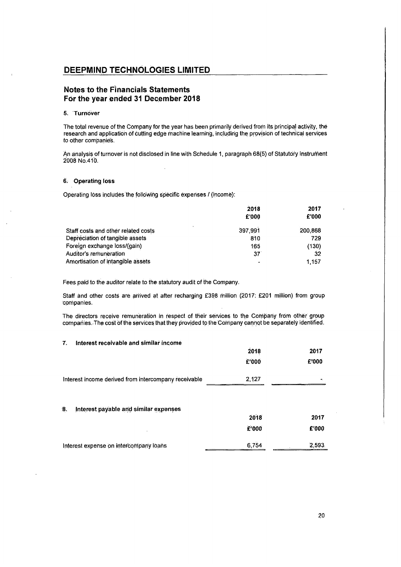## Notes to the Financials Statements — For the year ended 31 December 2018

#### 5. 'Turnover

The total revenue of the Companyfor the year has been primarily derived from its principal-activity, the research and application of cutting edge machine learning, including the provision of technical services to other companies.

## 6. Operating loss

| An analysis of turnover is not disclosed in line with Schedule 1, paragraph 68(5) of Statutory Instrumen<br>2008 No.410.                                                                                |                 |               |
|---------------------------------------------------------------------------------------------------------------------------------------------------------------------------------------------------------|-----------------|---------------|
| . Operating loss                                                                                                                                                                                        |                 |               |
| Operating loss includes the following specific expenses / (income):                                                                                                                                     |                 |               |
|                                                                                                                                                                                                         | 2018<br>£'000   | 2017<br>£'000 |
| Staff costs and other related costs                                                                                                                                                                     | 397,991         | 200,868       |
| Depreciation of tangible assets                                                                                                                                                                         | 810             | 729           |
| Foreign exchange loss/(gain)                                                                                                                                                                            | 165             | (130)         |
| Auditor's remuneration                                                                                                                                                                                  | 37 <sup>°</sup> | 32            |
| Amortisation of intangible assets                                                                                                                                                                       |                 | 1,157         |
| ees paid to the auditor relate to the statutory audit of the Company.                                                                                                                                   |                 |               |
| itaff and other costs are arrived at after recharging £398 million (2017: £201 million) from group<br>ompanies.                                                                                         |                 |               |
| he directors receive remuneration in respect of their services to the Company from other group<br>ompanies. The cost of the services that they provided to the Company cannot be separately identified. |                 |               |
| Interest receivable and similar income                                                                                                                                                                  |                 |               |
|                                                                                                                                                                                                         | 2018            | 2017          |
|                                                                                                                                                                                                         | £'000           | £'000         |
| nterest income derived from intercompany receivable                                                                                                                                                     | 2,127           |               |

## 7. Interest receivable and similar income

|                                                                                                                                                                                                           | 2018            | 2017    |
|-----------------------------------------------------------------------------------------------------------------------------------------------------------------------------------------------------------|-----------------|---------|
|                                                                                                                                                                                                           | £'000           | £'000   |
| Staff costs and other related costs                                                                                                                                                                       | 397,991         | 200.868 |
| Depreciation of tangible assets                                                                                                                                                                           | 810             | 729     |
| Foreign exchange loss/(gain)                                                                                                                                                                              | 165             | (130)   |
| Auditor's remuneration                                                                                                                                                                                    | 37 <sup>°</sup> | 32      |
| Amortisation of intangible assets                                                                                                                                                                         |                 | 1,157   |
| Fees paid to the auditor relate to the statutory audit of the Company.                                                                                                                                    |                 |         |
| Staff and other costs are arrived at after recharging £398 million (2017: £201 million) from group<br>companies.                                                                                          |                 |         |
| The directors receive remuneration in respect of their services to the Company from other group<br>companies. The cost of the services that they provided to the Company cannot be separately identified. |                 |         |
| Interest receivable and similar income<br>7.                                                                                                                                                              |                 |         |
|                                                                                                                                                                                                           | 2018            | 2017    |
|                                                                                                                                                                                                           | £'000           | £'000   |
| Interest income derived from intercompany receivable                                                                                                                                                      | 2,127           |         |
| Interest payable and similar expenses<br>8.                                                                                                                                                               |                 |         |
|                                                                                                                                                                                                           | 2018            | 2017    |
|                                                                                                                                                                                                           | E'000           | £'000   |
| Interest expense on intercompany loans                                                                                                                                                                    | 6,754           | 2,593.  |

Ļ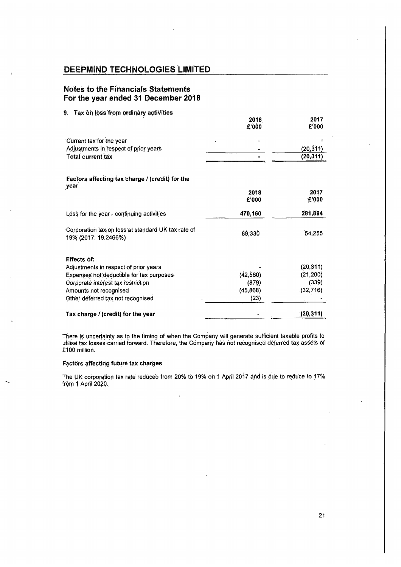## Notes to thé Financials Statements For the year ended 31 December 2018

| DEEPMIND TECHNOLOGIES LIMITED                                                    |           |                    |
|----------------------------------------------------------------------------------|-----------|--------------------|
| <b>Notes to the Financials Statements</b><br>For the year ended 31 December 2018 |           |                    |
| Tax on loss from ordinary activities<br>9.                                       | 2018      | 2017               |
|                                                                                  | £'000     | £'000              |
| Current tax for the year<br>Adjustments in respect of prior years                |           | (20, 311)          |
| <b>Total current tax</b>                                                         |           | (20, 311)          |
| Factors affecting tax charge / (credit) for the                                  |           |                    |
| year                                                                             | 2018      | 2017               |
|                                                                                  | £'000     | E'000              |
| Loss for the year - continuing activities                                        | 470,160   | 281,894            |
| Corporation tax on loss at standard UK tax rate of<br>19% (2017: 19,2466%)       | 89,330    | 54,255             |
| <b>Effects of:</b>                                                               |           |                    |
| Adjustments in respect of prior years                                            | (42, 560) | (20, 311)          |
| Expenses not deductible for tax purposes<br>Corporate interest tax restriction   | (879)     | (21, 200)<br>(339) |
| Amounts not recognised                                                           | (45, 868) | (32, 716)          |
| Other deferred tax not recognised                                                | (23)      |                    |
| Tax charge / (credit) for the year                                               |           | (20, 311)          |

There is uncertainty as to the timing of when the Company will generate sufficient taxable profits to utilise tax losses carried forward. Therefore, the Company has not recognised deferred tax assets of £100 million.

## Factors affecting future tax charges

The UK corporation tax rate reduced from 20% to 19% on 1 April 2017 and is due to reduce to 17% from <sup>1</sup> April 2020.

21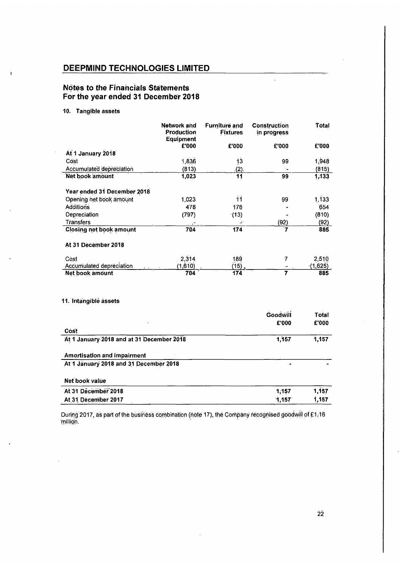# Notes to the Financials Statements For the year ended 31 December 2018

## 10. Tangible assets

| <b>DEEPMIND TECHNOLOGIES LIMITED</b>                                  |                           |                                  |                                |                  |
|-----------------------------------------------------------------------|---------------------------|----------------------------------|--------------------------------|------------------|
| <b>Notes to the Financials Statements</b>                             |                           |                                  |                                |                  |
| For the year ended 31 December 2018                                   |                           |                                  |                                |                  |
| 10.<br><b>Tangible assets</b>                                         |                           |                                  |                                |                  |
|                                                                       | Network and<br>Production | Furniture and<br><b>Fixtures</b> | Construction<br>in progress    | Total            |
|                                                                       | Equipment<br>£'000        | £'000                            | £'000                          | £'000            |
| At 1 January 2018<br>Cóst                                             | 1,836                     | 13                               | 99                             | 1,948            |
| <b>Accumulated depreciation</b><br>Net book amount                    | (813)                     | (2)<br>$\overline{11}$           | $\overline{\phantom{a}}$<br>99 | (815)            |
|                                                                       | 1,023                     |                                  |                                | 1,133            |
| Year ended 31 December 2018<br>Opening het book amount                | 1,023                     | 11                               | 99                             | 1,133            |
| Additions<br>Depreciation                                             | 478<br>(797)              | 176<br>(13)                      | ż                              | 654<br>(810)     |
| <b>Transfers</b>                                                      | 704                       | $\mathcal{L}^*$<br>174           | (92)<br>7                      | (92)<br>885      |
| <b>Closing net book amount</b>                                        |                           |                                  |                                |                  |
| At 31 December 2018                                                   |                           |                                  |                                |                  |
| Cost<br><b>Accumulated depreciation</b>                               | 2,314<br>(1,610)          | 189<br>$(15)$ .                  | $\cdot 7$<br>t,                | 2,510<br>(1,625) |
| Net book amount                                                       | 704                       | 174                              | $\overline{7}$                 | 885              |
|                                                                       |                           |                                  |                                |                  |
| 11. Intangible assets                                                 |                           |                                  |                                |                  |
|                                                                       |                           |                                  | Goodwill<br>£'000              | Total<br>£'000   |
| Cost                                                                  |                           |                                  |                                |                  |
| At 1 January 2018 and at 31 December 2018                             |                           |                                  | 1,157                          | 1,157            |
| Amortisation and impairment<br>At 1 January 2018 and 31 December 2018 |                           |                                  | $\blacksquare$                 |                  |
|                                                                       |                           |                                  |                                |                  |
| Net book value<br>At 31 December 2018<br>At 31 December 2017          |                           |                                  | 1,157<br>1,157                 | 1,157<br>1,157   |

During 2017, as part of the business combination (note 17), the Company recognised goodwill of £1,16 'million.

22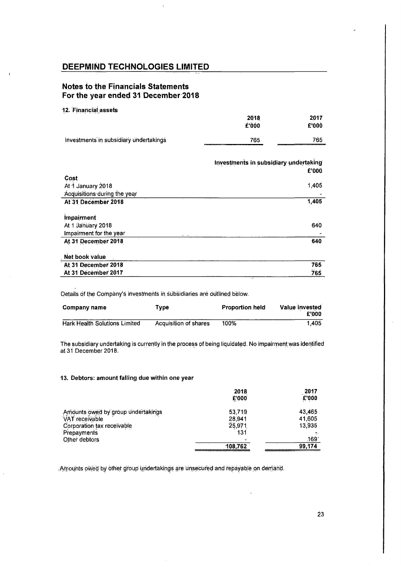## Notes to the Financials Statements For the year ended 31 December 2018

## 12. Financial assets

| .                                      | 2018<br>£'000                                                                                                                   | 2017<br>£'000 |
|----------------------------------------|---------------------------------------------------------------------------------------------------------------------------------|---------------|
| Investments in subsidiary undertakings | 765<br><b>A CONTRACT OF A CONTRACT OF A CONTRACT OF A CONTRACT OF A CONTRACT OF A CONTRACT OF A CONTRACT OF A CONTRACT OF A</b> | 765           |

| DEEPMIND TECHNOLOGIES LIMITED                                                                                                                                                                                                               |                                       |                          |
|---------------------------------------------------------------------------------------------------------------------------------------------------------------------------------------------------------------------------------------------|---------------------------------------|--------------------------|
| <b>Notes to the Financials Statements</b>                                                                                                                                                                                                   |                                       |                          |
|                                                                                                                                                                                                                                             |                                       |                          |
| For the year ended 31 December 2018                                                                                                                                                                                                         |                                       |                          |
| 12. Financial assets                                                                                                                                                                                                                        | 2018<br>£'000                         | 2017<br><b>C'000</b>     |
| Investments in subsidiary undertakings                                                                                                                                                                                                      | 765                                   | 765                      |
|                                                                                                                                                                                                                                             | Investments in subsidiary undertaking |                          |
| Cost.                                                                                                                                                                                                                                       |                                       | £'000                    |
| At 1 January 2018<br>Acquisitions during the year<br>At 31 December 2018                                                                                                                                                                    |                                       | 1,405<br>1,405           |
| Impairment                                                                                                                                                                                                                                  |                                       |                          |
| At 1 January 2018<br>Impairment for the year                                                                                                                                                                                                |                                       | 640                      |
| At 31 December 2018<br>Net book value                                                                                                                                                                                                       |                                       | 640                      |
| At 31 December 2018<br>At 31 December 2017                                                                                                                                                                                                  |                                       | 765<br>765               |
| Details of the Company's investments in subsidiaries are outlined below.                                                                                                                                                                    |                                       |                          |
| <b>Type</b><br>Company name                                                                                                                                                                                                                 | <b>Proportion held</b>                | Value invested           |
| <b>Hark Health Solutions Limited</b><br>Acquisition of shares                                                                                                                                                                               | 100%                                  | £'000<br>1,405           |
|                                                                                                                                                                                                                                             |                                       |                          |
|                                                                                                                                                                                                                                             |                                       |                          |
|                                                                                                                                                                                                                                             |                                       |                          |
|                                                                                                                                                                                                                                             | 2018<br>£'000                         | 2017<br>£'000            |
| The subsidiary undertaking is currently in the process of being liquidated. No impairment was identified<br>at 31 December 2018.<br>13. Debtors: amount falling due within one year<br>Amounts owed by group undertakings<br>VAT receivable | 53,719<br>28,941                      | 43,465<br>41,605         |
| Corporation tax receivable<br>Prepayments<br>Other debtors                                                                                                                                                                                  | 25,971<br>131<br>108,762              | 13,935<br>169'<br>99,174 |

| Company name                         | Туре                  | <b>Proportion held</b> | Value invested<br>£'000 |
|--------------------------------------|-----------------------|------------------------|-------------------------|
| <b>Hark Health Solutions Limited</b> | Acquisition of shares | 100%                   | 1,405                   |

### 13. Debtors: amount falling due within one year

|                                    | 2018<br>£'000 | $-2017$<br><b>E'000</b> |
|------------------------------------|---------------|-------------------------|
| Amounts owed by group undertakings | 53,719        | 43,465                  |
| VAT receivable                     | 28.941        | 41,605                  |
| Corporation tax receivable         | 25,971        | 13,935                  |
| Prepayments                        | 131           |                         |
| Other debtors                      | $\mathbf{r}$  | 169                     |
|                                    | 108,762       | 99,174                  |

'Amounts oWed byother group undertakings are unsecured and repayable on demand.

 $\mathsf{I}$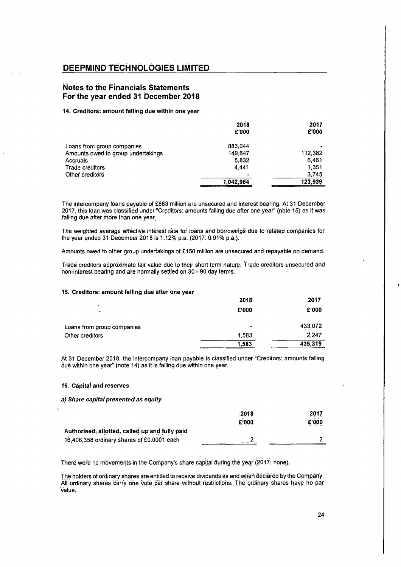## Notes to the Financials Statements \_ For the year ended 31 December 2018

### 14. Creditors: amount falling due within one year

| <b>DEEPMIND TECHNOLOGIES LIMITED</b>                                                                                                                                                                                                                  |                    |                  |
|-------------------------------------------------------------------------------------------------------------------------------------------------------------------------------------------------------------------------------------------------------|--------------------|------------------|
| Notes to the Financials Statements<br>For the year ended 31 December 2018                                                                                                                                                                             |                    |                  |
| 14. Creditors: amount falling due within one year                                                                                                                                                                                                     |                    |                  |
|                                                                                                                                                                                                                                                       | 2018<br>£'000      | 2017<br>£'000    |
| Loans from group companies<br>Amounts owed to group undertakings<br><b>Accruals</b>                                                                                                                                                                   | 883,044<br>149,647 | 112,382<br>6,461 |
| Trade creditors<br>Other creditors                                                                                                                                                                                                                    | 5,832<br>4.441     | 1,351<br>3,745   |
|                                                                                                                                                                                                                                                       | 1,042,964          | 123,939          |
| The intercompany loans payable of £883 million are unsecured and interest bearing. At 31 December<br>2017, this loan was classified under "Creditors: amounts falling due after one year" (note 15) as it was<br>alling due after more than one year. |                    |                  |
| The weighted average effective interest rate for loans and borrowings due to related companies for<br>he year ended 31 December 2018 is 1.12% p.a. (2017: 0.91% p.a.).                                                                                |                    |                  |
| Amounts owed to other group undertakings of £150 million are unsecured and repayable on demand.                                                                                                                                                       |                    |                  |
| rade creditors approximate fair value due to their short term nature. Trade creditors unsecured and<br>ion-interest bearing and are normally settled on 30 - 90 day terms.                                                                            |                    |                  |
| 5. Creditors: amount falling due after one year                                                                                                                                                                                                       |                    |                  |
|                                                                                                                                                                                                                                                       | 2018<br>£'000      | 2017<br>£'000    |
|                                                                                                                                                                                                                                                       |                    |                  |
| Loans from group companies<br>Other creditors                                                                                                                                                                                                         | 1,583              | 433,072<br>2,247 |
|                                                                                                                                                                                                                                                       | 1,583              | 435,319          |

## 15. Creditors: amount falling due after one year

| The intercompany loans payable of £883 million are unsecured and interest bearing. At 31 December<br>017, this loan was classified under "Creditors: amounts falling due after one year" (note 15) as it was<br>alling due after more than one year. |                      |                |
|------------------------------------------------------------------------------------------------------------------------------------------------------------------------------------------------------------------------------------------------------|----------------------|----------------|
| he weighted average effective interest rate for loans and borrowings due to related companies for<br>he year ended 31 December 2018 is 1.12% p.a. (2017: 0.91% p.a.).                                                                                |                      |                |
| mounts owed to other group undertakings of £150 million are unsecured and repayable on demand.                                                                                                                                                       |                      |                |
| rade creditors approximate fair value due to their short term nature. Trade creditors unsecured and<br>ion-interest bearing and are normally settled on 30 - 90 day terms.                                                                           |                      |                |
| 5. Creditors: amount falling due after one year                                                                                                                                                                                                      |                      |                |
|                                                                                                                                                                                                                                                      | 2018                 | 2017           |
|                                                                                                                                                                                                                                                      | £'000                | £'000          |
| Loans from group companies                                                                                                                                                                                                                           |                      | 433,072        |
| Other creditors                                                                                                                                                                                                                                      | 1,583                | 2,247          |
|                                                                                                                                                                                                                                                      | 1,583                | 435,319        |
| t 31 December 2018, the intercompany loan payable is classified under "Creditors: amounts falling<br>lue within one year" (note 14) as it is falling due within one year.                                                                            |                      |                |
| <b>6. Capital and reserves</b>                                                                                                                                                                                                                       |                      |                |
| Share capital presented as equity                                                                                                                                                                                                                    |                      |                |
|                                                                                                                                                                                                                                                      | 2018                 | 2017           |
|                                                                                                                                                                                                                                                      | £'000                | £'000          |
| Authorised, allotted, called up and fully paid                                                                                                                                                                                                       |                      |                |
| 16,406,358 ordinary shares of £0,0001 each                                                                                                                                                                                                           | $\mathbf{2}_{\perp}$ | $\overline{2}$ |
|                                                                                                                                                                                                                                                      |                      |                |

### 16. Capital and reserves

### .a) Share capital presented as equity

|                                                | 2018  | .2017 |
|------------------------------------------------|-------|-------|
|                                                | £'000 | £'000 |
| Authorised, allotted, called up and fully paid |       |       |
| 16,406,358 ordinary shares of £0.0001 each     |       |       |

There were no movements in the Company's share capital during the year (2017: none).

The holders of ordinary shares are entitled to receive dividends as and when declared by the Company. All ordinary shares carryone Voté pér 'share without restrictions. The 'ordinary shares have ho par 'value.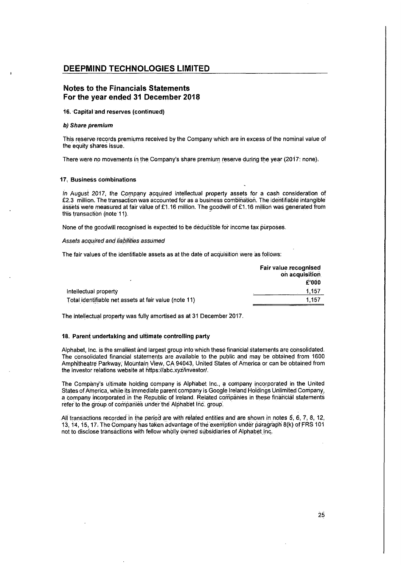## Notes to the Financials Statements For the year ended 31 December 2018

### 46. 'Capital and reserves (continued)

#### b) Share premium

This reserve-records premiums received by the Company which are in excess of the nominal value of the equity shares issue.

There were no movements in the Company's share premium reserve during the year (2017: none).

#### 17, Business combinations

In August 2017, the Company acquired intellectual property assets for a cash consideration of  $£2.3$  million. The transaction was accounted for as a business combination. The identifiable intangible assets wefe measuredat fair value of £1.16 million. The goodwill of £1.16 million was générated from this transaction (note 11).

None of the goodwill recognised is expected to be deductible for income tax purposes.

## Assets acquired and liabilities assumed

The fair values of the identifiable assets as at the date of acquisition were as follows:

|                                                       | Fair value recognised<br>on acquisition |
|-------------------------------------------------------|-----------------------------------------|
| Intellectual property                                 | £'000<br>.157                           |
| Total identifiable net assets at fair value (note 11) | 1.157                                   |

The intellectual property was fully amortised as at 31 December 2017.

## 18. Parent undertaking and ultimate controlling party

Alphabet, Inc. is the smallest and largest group into which thesefinancial statements are consolidated. The consolidated financial statements are available to the public and may be obtained from 1600 Amphitheatre Parkway; Mountain View, CA94043, United States of America or can be obtained from the investor relations website at https://abc.xyz/investor/.

The Company's ultimate holding company is Alphabet Inc., a company incorporated in the United States of America, while its immediate parent company is Google Ireland Holdings Unlimited Company, a company. incorporated: in the Republic of Ireland. Related companies in these financial statements refer to the group of companies under the Alphabet Inc. group.

All transactions recorded'in the period are withrélated entities and are shownin notes5, 6, 7, 8, 12, 13, 14, 15, 17; The Companyhas taken advantage of the exemption under paragraph8(k) ofFRS <sup>104</sup> not to disclose transactions with fellow wholly owned subsidiaries of Alphabet Inc.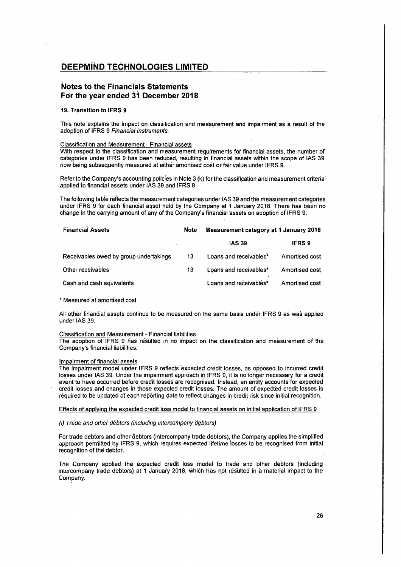## Notes to the Financials Statements For the year ended 31 December 2018

### 19. Transition to lFRS 9

This note explains the impact on classification and measurement and impairment as a result of the adoption of IFRS 9 Financial Instruments.

### Classification and Measurement- Financial assets

With respect to the classification and measurement requirements for financial assets, the number of categories under IFRS 9 has been reduced, resulting in financial assets within the scope of IAS 39 now being subsequenitly measured at either amortised cost or fair value under IFRS 9.

Refer to the Company's accounting policies in Note 3 (k) for the classification and measurement criteria' applied to financial assets under IAS 39.and IFRS 9.

The following table reflects the measurement categories under IAS 39 and the measurement categories under IFRS 9 for each financial asset held by the Company at 1 January 2018. There has been no change in the carrying amount of any of the Company's financial assets on adoption of IFRS 9.

| <b>Financial Assets</b>                | <b>Note</b>  | Measurement category at 1 January 2018 |                |
|----------------------------------------|--------------|----------------------------------------|----------------|
|                                        |              | <b>IAS 39</b>                          | <b>IFRS 9</b>  |
| Receivables owed by group undertakings | -13          | Loans and receivables*                 | Amortised cost |
| Other receivables                      | $13^{\circ}$ | Loans and receivables*                 | Amortised cost |
| Cash and cash equivalents              |              | Loans and receivables*                 | Amortised cost |

#### \* Measured at amortised cost

All other financial assets continue to be measured on the same basis under IFRS 9 as was applied under IAS 39.

### Classification and Measurement- Financial liabilities

The adoption of IFRS 9 has resulted in no impact on the classification and measurement of the Company's financial liabilities.

#### Impairment of financial assets

The impairment model under IFRS 9 reflects expected credit losses, as Opposed to incurred credit losses under IAS 39. Under the impairment approach in IFRS 9, it is no longer necessary for a credit event to have occurred before credit losses are recognised. Instead, an entity accounts for expected credit losses and changes in those expected credit losses. The amount of expected credit losses is required to be updated at each reporting date to reflect changesin credit risk since initial recognition.

## Effects of applying the expected credit loss model to financial assets on initial application of IFRS 9

### (i) Trade and other debtors (including intercompany debtors)

For trade debtors and other debtors (intercompany trade debtors), the Company applies the simplified approach permitted by IFRS 9, which requires expected lifetime losses to be recognised from initial recognition of the debtor.

The Company applied 'the expected credit loss model to trade and other debtors(including intercompany trade debtors) at <sup>1</sup> January 2018, which has not résulted in a material impact to the. Company. In the company of the company of the company of the company of the company of the company of the company